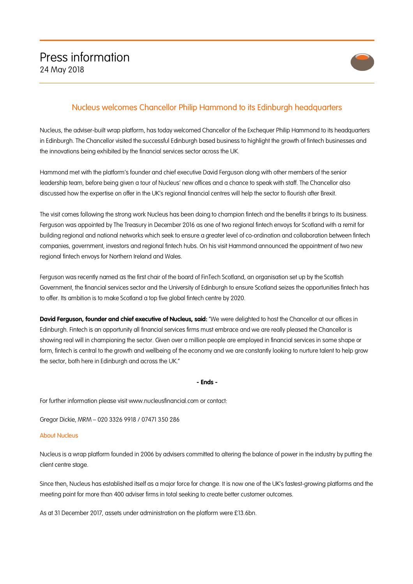

## Nucleus welcomes Chancellor Philip Hammond to its Edinburgh headquarters

Nucleus, the adviser-built wrap platform, has today welcomed Chancellor of the Exchequer Philip Hammond to its headquarters in Edinburgh. The Chancellor visited the successful Edinburgh based business to highlight the growth of fintech businesses and the innovations being exhibited by the financial services sector across the UK.

Hammond met with the platform's founder and chief executive David Ferguson along with other members of the senior leadership team, before being given a tour of Nucleus' new offices and a chance to speak with staff. The Chancellor also discussed how the expertise on offer in the UK's regional financial centres will help the sector to flourish after Brexit.

The visit comes following the strong work Nucleus has been doing to champion fintech and the benefits it brings to its business. Ferguson was appointed by The Treasury in December 2016 as one of two regional fintech envoys for Scotland with a remit for building regional and national networks which seek to ensure a greater level of co-ordination and collaboration between fintech companies, government, investors and regional fintech hubs. On his visit Hammond announced the appointment of two new regional fintech envoys for Northern Ireland and Wales.

Ferguson was recently named as the first chair of the board of FinTech Scotland, an organisation set up by the Scottish Government, the financial services sector and the University of Edinburgh to ensure Scotland seizes the opportunities fintech has to offer. Its ambition is to make Scotland a top five global fintech centre by 2020.

**David Ferguson, founder and chief executive of Nucleus, said:** "We were delighted to host the Chancellor at our offices in Edinburgh. Fintech is an opportunity all financial services firms must embrace and we are really pleased the Chancellor is showing real will in championing the sector. Given over a million people are employed in financial services in some shape or form, fintech is central to the growth and wellbeing of the economy and we are constantly looking to nurture talent to help grow the sector, both here in Edinburgh and across the UK."

**- Ends -**

For further information please visit www.nucleusfinancial.com or contact:

Gregor Dickie, MRM – 020 3326 9918 / 07471 350 286

## About Nucleus

Nucleus is a wrap platform founded in 2006 by advisers committed to altering the balance of power in the industry by putting the client centre stage.

Since then, Nucleus has established itself as a major force for change. It is now one of the UK's fastest-growing platforms and the meeting point for more than 400 adviser firms in total seeking to create better customer outcomes.

As at 31 December 2017, assets under administration on the platform were £13.6bn.